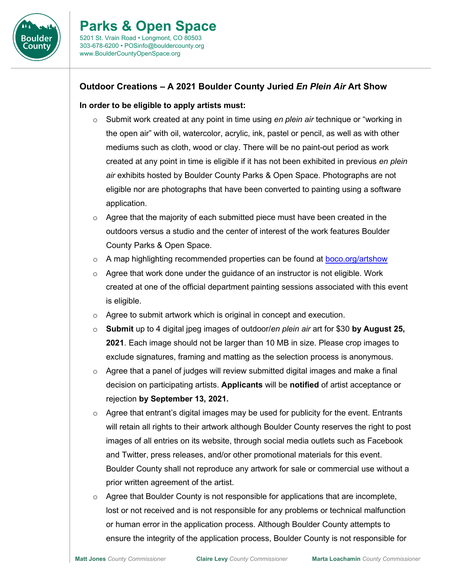

## **Outdoor Creations – A 2021 Boulder County Juried** *En Plein Air* **Art Show**

## **In order to be eligible to apply artists must:**

- o Submit work created at any point in time using *en plein air* technique or "working in the open air" with oil, watercolor, acrylic, ink, pastel or pencil, as well as with other mediums such as cloth, wood or clay. There will be no paint-out period as work created at any point in time is eligible if it has not been exhibited in previous *en plein air* exhibits hosted by Boulder County Parks & Open Space. Photographs are not eligible nor are photographs that have been converted to painting using a software application.
- $\circ$  Agree that the majority of each submitted piece must have been created in the outdoors versus a studio and the center of interest of the work features Boulder County Parks & Open Space.
- o A map highlighting recommended properties can be found at [boco.org/artshow](https://boco.org/artshow)
- $\circ$  Agree that work done under the guidance of an instructor is not eligible. Work created at one of the official department painting sessions associated with this event is eligible.
- o Agree to submit artwork which is original in concept and execution.
- o **Submit** up to 4 digital jpeg images of outdoor/*en plein air* art for \$30 **by August 25, 2021**. Each image should not be larger than 10 MB in size. Please crop images to exclude signatures, framing and matting as the selection process is anonymous.
- $\circ$  Agree that a panel of judges will review submitted digital images and make a final decision on participating artists. **Applicants** will be **notified** of artist acceptance or rejection **by September 13, 2021.**
- $\circ$  Agree that entrant's digital images may be used for publicity for the event. Entrants will retain all rights to their artwork although Boulder County reserves the right to post images of all entries on its website, through social media outlets such as Facebook and Twitter, press releases, and/or other promotional materials for this event. Boulder County shall not reproduce any artwork for sale or commercial use without a prior written agreement of the artist.
- $\circ$  Agree that Boulder County is not responsible for applications that are incomplete, lost or not received and is not responsible for any problems or technical malfunction or human error in the application process. Although Boulder County attempts to ensure the integrity of the application process, Boulder County is not responsible for